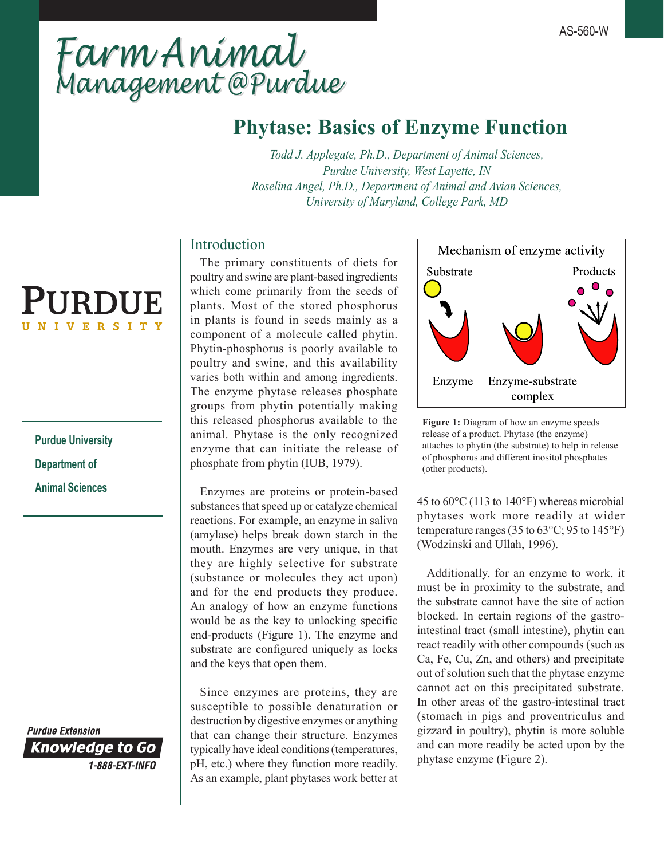# *Farm Animal Management @Purdue Farm Animal Management @Purdue*

# **Phytase: Basics of Enzyme Function**

*Todd J. Applegate, Ph.D., Department of Animal Sciences, Purdue University, West Layette, IN Roselina Angel, Ph.D., Department of Animal and Avian Sciences, University of Maryland, College Park, MD*

# Introduction

 The primary constituents of diets for poultry and swine are plant-based ingredients which come primarily from the seeds of plants. Most of the stored phosphorus in plants is found in seeds mainly as a component of a molecule called phytin. Phytin-phosphorus is poorly available to poultry and swine, and this availability varies both within and among ingredients. The enzyme phytase releases phosphate groups from phytin potentially making this released phosphorus available to the animal. Phytase is the only recognized enzyme that can initiate the release of phosphate from phytin (IUB, 1979).

 Enzymes are proteins or protein-based substances that speed up or catalyze chemical reactions. For example, an enzyme in saliva (amylase) helps break down starch in the mouth. Enzymes are very unique, in that they are highly selective for substrate (substance or molecules they act upon) and for the end products they produce. An analogy of how an enzyme functions would be as the key to unlocking specific end-products (Figure 1). The enzyme and substrate are configured uniquely as locks and the keys that open them.

 Since enzymes are proteins, they are susceptible to possible denaturation or destruction by digestive enzymes or anything that can change their structure. Enzymes typically have ideal conditions (temperatures, pH, etc.) where they function more readily. As an example, plant phytases work better at



**Figure 1:** Diagram of how an enzyme speeds release of a product. Phytase (the enzyme) attaches to phytin (the substrate) to help in release of phosphorus and different inositol phosphates (other products).

45 to 60°C (113 to 140°F) whereas microbial phytases work more readily at wider temperature ranges (35 to 63°C; 95 to 145°F) (Wodzinski and Ullah, 1996).

 Additionally, for an enzyme to work, it must be in proximity to the substrate, and the substrate cannot have the site of action blocked. In certain regions of the gastrointestinal tract (small intestine), phytin can react readily with other compounds (such as Ca, Fe, Cu, Zn, and others) and precipitate out of solution such that the phytase enzyme cannot act on this precipitated substrate. In other areas of the gastro-intestinal tract (stomach in pigs and proventriculus and gizzard in poultry), phytin is more soluble and can more readily be acted upon by the phytase enzyme (Figure 2).



**Purdue University Department of Animal Sciences**

**Purdue Extension Knowledge to Go** 1-888-EXT-INFO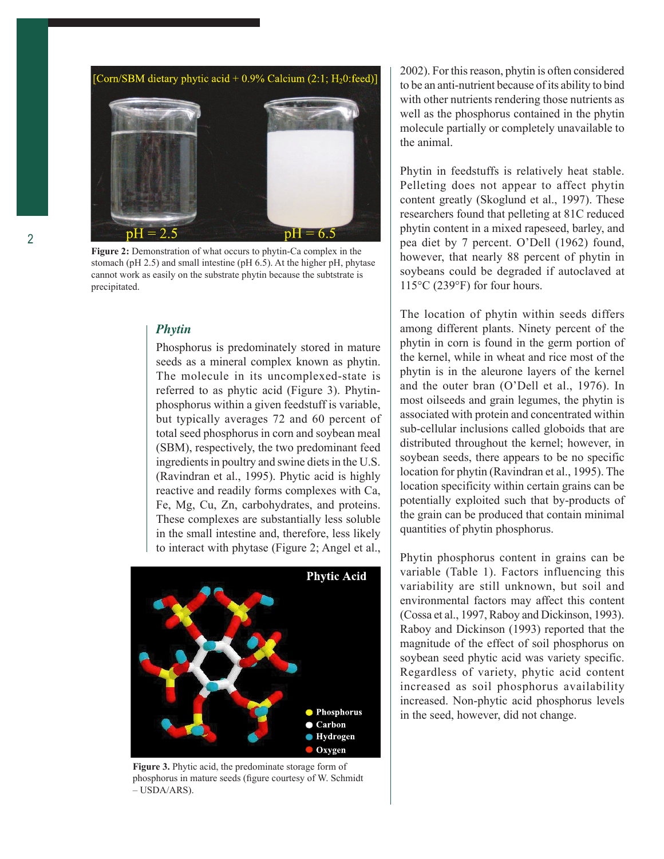

**Figure 2:** Demonstration of what occurs to phytin-Ca complex in the stomach (pH 2.5) and small intestine (pH 6.5). At the higher pH, phytase cannot work as easily on the substrate phytin because the subtstrate is precipitated.

## *Phytin*

Phosphorus is predominately stored in mature seeds as a mineral complex known as phytin. The molecule in its uncomplexed-state is referred to as phytic acid (Figure 3). Phytinphosphorus within a given feedstuff is variable, but typically averages 72 and 60 percent of total seed phosphorus in corn and soybean meal (SBM), respectively, the two predominant feed ingredients in poultry and swine diets in the U.S. (Ravindran et al., 1995). Phytic acid is highly reactive and readily forms complexes with Ca, Fe, Mg, Cu, Zn, carbohydrates, and proteins. These complexes are substantially less soluble in the small intestine and, therefore, less likely to interact with phytase (Figure 2; Angel et al.,



**Figure 3.** Phytic acid, the predominate storage form of phosphorus in mature seeds (figure courtesy of W. Schmidt – USDA/ARS).

2002). For this reason, phytin is often considered to be an anti-nutrient because of its ability to bind with other nutrients rendering those nutrients as well as the phosphorus contained in the phytin molecule partially or completely unavailable to the animal.

Phytin in feedstuffs is relatively heat stable. Pelleting does not appear to affect phytin content greatly (Skoglund et al., 1997). These researchers found that pelleting at 81C reduced phytin content in a mixed rapeseed, barley, and pea diet by 7 percent. O'Dell (1962) found, however, that nearly 88 percent of phytin in soybeans could be degraded if autoclaved at 115°C (239°F) for four hours.

The location of phytin within seeds differs among different plants. Ninety percent of the phytin in corn is found in the germ portion of the kernel, while in wheat and rice most of the phytin is in the aleurone layers of the kernel and the outer bran (O'Dell et al., 1976). In most oilseeds and grain legumes, the phytin is associated with protein and concentrated within sub-cellular inclusions called globoids that are distributed throughout the kernel; however, in soybean seeds, there appears to be no specific location for phytin (Ravindran et al., 1995). The location specificity within certain grains can be potentially exploited such that by-products of the grain can be produced that contain minimal quantities of phytin phosphorus.

Phytin phosphorus content in grains can be variable (Table 1). Factors influencing this variability are still unknown, but soil and environmental factors may affect this content (Cossa et al., 1997, Raboy and Dickinson, 1993). Raboy and Dickinson (1993) reported that the magnitude of the effect of soil phosphorus on soybean seed phytic acid was variety specific. Regardless of variety, phytic acid content increased as soil phosphorus availability increased. Non-phytic acid phosphorus levels in the seed, however, did not change.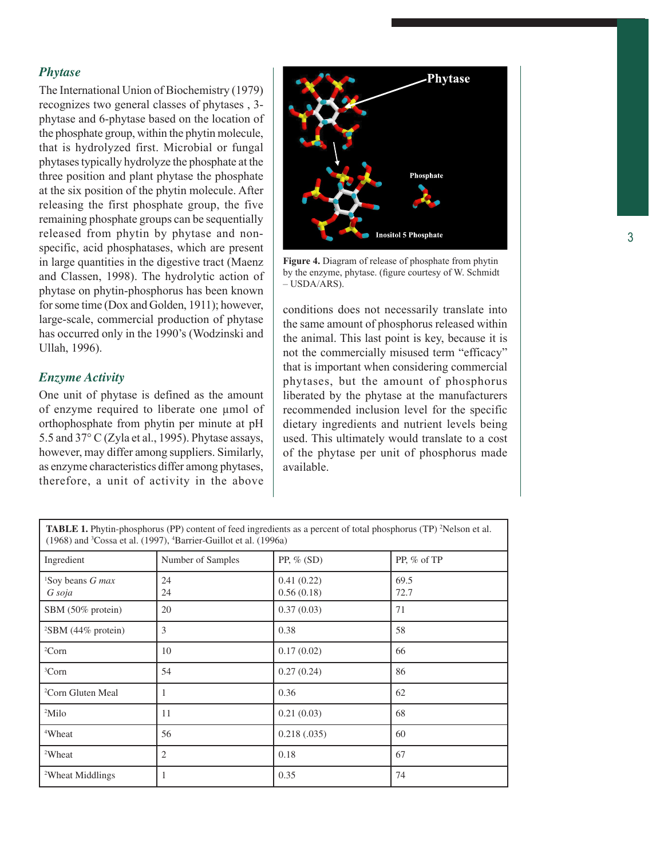### *Phytase*

The International Union of Biochemistry (1979) recognizes two general classes of phytases , 3 phytase and 6-phytase based on the location of the phosphate group, within the phytin molecule, that is hydrolyzed first. Microbial or fungal phytases typically hydrolyze the phosphate at the three position and plant phytase the phosphate at the six position of the phytin molecule. After releasing the first phosphate group, the five remaining phosphate groups can be sequentially released from phytin by phytase and nonspecific, acid phosphatases, which are present in large quantities in the digestive tract (Maenz and Classen, 1998). The hydrolytic action of phytase on phytin-phosphorus has been known for some time (Dox and Golden, 1911); however, large-scale, commercial production of phytase has occurred only in the 1990's (Wodzinski and Ullah, 1996).

#### *Enzyme Activity*

One unit of phytase is defined as the amount of enzyme required to liberate one µmol of orthophosphate from phytin per minute at pH 5.5 and 37° C (Zyla et al., 1995). Phytase assays, however, may differ among suppliers. Similarly, as enzyme characteristics differ among phytases, therefore, a unit of activity in the above



**Figure 4.** Diagram of release of phosphate from phytin by the enzyme, phytase. (figure courtesy of W. Schmidt  $-$  USDA/ARS).

conditions does not necessarily translate into the same amount of phosphorus released within the animal. This last point is key, because it is not the commercially misused term "efficacy" that is important when considering commercial phytases, but the amount of phosphorus liberated by the phytase at the manufacturers recommended inclusion level for the specific dietary ingredients and nutrient levels being used. This ultimately would translate to a cost of the phytase per unit of phosphorus made available.

**TABLE 1.** Phytin-phosphorus (PP) content of feed ingredients as a percent of total phosphorus (TP) <sup>2</sup>Nelson et al. (1968) and 3 Cossa et al. (1997), 4 Barrier-Guillot et al. (1996a)

| Ingredient                             | Number of Samples | PP, $%$ (SD)             | PP, % of TP  |
|----------------------------------------|-------------------|--------------------------|--------------|
| <sup>1</sup> Soy beans G max<br>G soja | 24<br>24          | 0.41(0.22)<br>0.56(0.18) | 69.5<br>72.7 |
| SBM (50% protein)                      | 20                | 0.37(0.03)               | 71           |
| <sup>2</sup> SBM (44% protein)         | 3                 | 0.38                     | 58           |
| ${}^{2}Corn$                           | 10                | 0.17(0.02)               | 66           |
| <sup>3</sup> Corn                      | 54                | 0.27(0.24)               | 86           |
| <sup>2</sup> Corn Gluten Meal          | $\mathbf{1}$      | 0.36                     | 62           |
| $2$ Milo                               | 11                | 0.21(0.03)               | 68           |
| <sup>4</sup> Wheat                     | 56                | 0.218(.035)              | 60           |
| <sup>2</sup> Wheat                     | $\mathfrak{2}$    | 0.18                     | 67           |
| <sup>2</sup> Wheat Middlings           | 1                 | 0.35                     | 74           |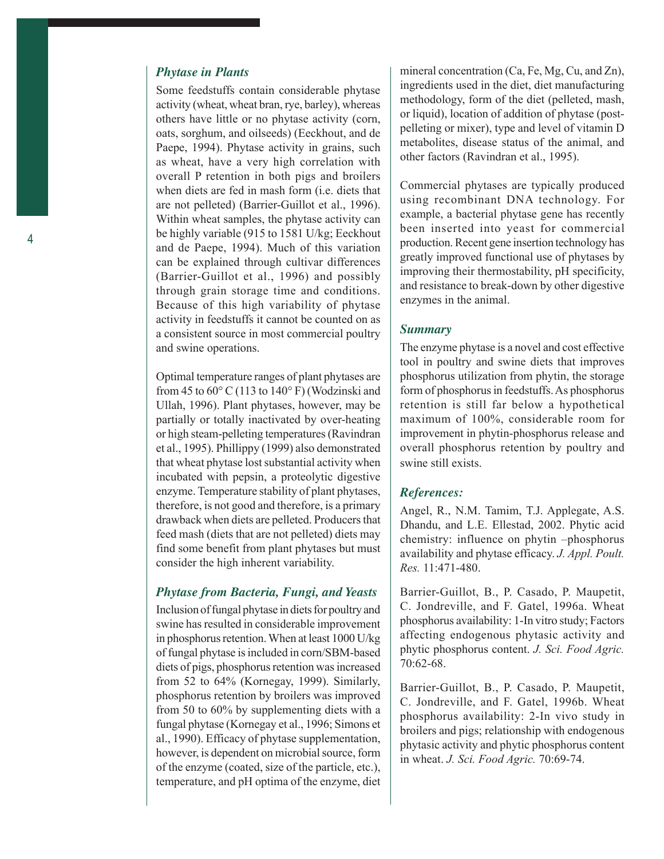## *Phytase in Plants*

Some feedstuffs contain considerable phytase activity (wheat, wheat bran, rye, barley), whereas others have little or no phytase activity (corn, oats, sorghum, and oilseeds) (Eeckhout, and de Paepe, 1994). Phytase activity in grains, such as wheat, have a very high correlation with overall P retention in both pigs and broilers when diets are fed in mash form (i.e. diets that are not pelleted) (Barrier-Guillot et al., 1996). Within wheat samples, the phytase activity can be highly variable (915 to 1581 U/kg; Eeckhout and de Paepe, 1994). Much of this variation can be explained through cultivar differences (Barrier-Guillot et al., 1996) and possibly through grain storage time and conditions. Because of this high variability of phytase activity in feedstuffs it cannot be counted on as a consistent source in most commercial poultry and swine operations.

Optimal temperature ranges of plant phytases are from 45 to  $60^{\circ}$  C (113 to 140 $^{\circ}$  F) (Wodzinski and Ullah, 1996). Plant phytases, however, may be partially or totally inactivated by over-heating or high steam-pelleting temperatures (Ravindran et al., 1995). Phillippy (1999) also demonstrated that wheat phytase lost substantial activity when incubated with pepsin, a proteolytic digestive enzyme. Temperature stability of plant phytases, therefore, is not good and therefore, is a primary drawback when diets are pelleted. Producers that feed mash (diets that are not pelleted) diets may find some benefit from plant phytases but must consider the high inherent variability.

#### *Phytase from Bacteria, Fungi, and Yeasts*

Inclusion of fungal phytase in diets for poultry and swine has resulted in considerable improvement in phosphorus retention. When at least 1000 U/kg of fungal phytase is included in corn/SBM-based diets of pigs, phosphorus retention was increased from 52 to 64% (Kornegay, 1999). Similarly, phosphorus retention by broilers was improved from 50 to 60% by supplementing diets with a fungal phytase (Kornegay et al., 1996; Simons et al., 1990). Efficacy of phytase supplementation, however, is dependent on microbial source, form of the enzyme (coated, size of the particle, etc.), temperature, and pH optima of the enzyme, diet mineral concentration (Ca, Fe, Mg, Cu, and Zn), ingredients used in the diet, diet manufacturing methodology, form of the diet (pelleted, mash, or liquid), location of addition of phytase (postpelleting or mixer), type and level of vitamin D metabolites, disease status of the animal, and other factors (Ravindran et al., 1995).

Commercial phytases are typically produced using recombinant DNA technology. For example, a bacterial phytase gene has recently been inserted into yeast for commercial production. Recent gene insertion technology has greatly improved functional use of phytases by improving their thermostability, pH specificity, and resistance to break-down by other digestive enzymes in the animal.

#### *Summary*

The enzyme phytase is a novel and cost effective tool in poultry and swine diets that improves phosphorus utilization from phytin, the storage form of phosphorus in feedstuffs. As phosphorus retention is still far below a hypothetical maximum of 100%, considerable room for improvement in phytin-phosphorus release and overall phosphorus retention by poultry and swine still exists.

#### *References:*

Angel, R., N.M. Tamim, T.J. Applegate, A.S. Dhandu, and L.E. Ellestad, 2002. Phytic acid chemistry: influence on phytin –phosphorus availability and phytase efficacy. *J. Appl. Poult. Res.* 11:471-480.

Barrier-Guillot, B., P. Casado, P. Maupetit, C. Jondreville, and F. Gatel, 1996a. Wheat phosphorus availability: 1-In vitro study; Factors affecting endogenous phytasic activity and phytic phosphorus content. *J. Sci. Food Agric.* 70:62-68.

Barrier-Guillot, B., P. Casado, P. Maupetit, C. Jondreville, and F. Gatel, 1996b. Wheat phosphorus availability: 2-In vivo study in broilers and pigs; relationship with endogenous phytasic activity and phytic phosphorus content in wheat. *J. Sci. Food Agric.* 70:69-74.